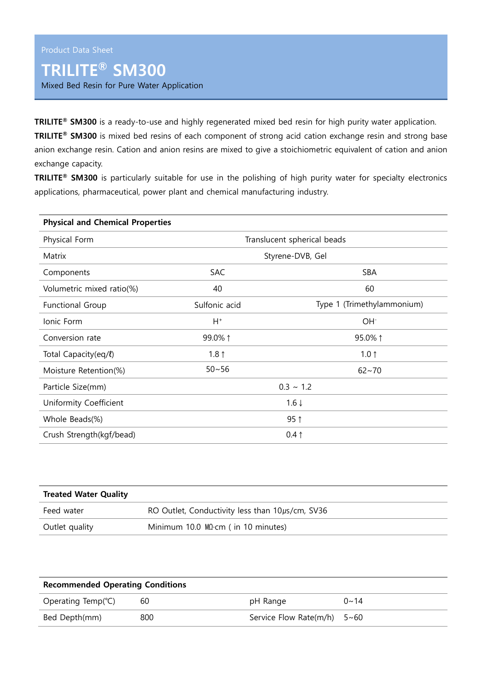## **TRILITE® SM300**

Mixed Bed Resin for Pure Water Application

**TRILITE® SM300** is a ready-to-use and highly regenerated mixed bed resin for high purity water application.

**TRILITE® SM300** is mixed bed resins of each component of strong acid cation exchange resin and strong base anion exchange resin. Cation and anion resins are mixed to give a stoichiometric equivalent of cation and anion exchange capacity.

**TRILITE® SM300** is particularly suitable for use in the polishing of high purity water for specialty electronics applications, pharmaceutical, power plant and chemical manufacturing industry.

| <b>Physical and Chemical Properties</b> |                             |                            |  |  |  |
|-----------------------------------------|-----------------------------|----------------------------|--|--|--|
| Physical Form                           | Translucent spherical beads |                            |  |  |  |
| Matrix                                  | Styrene-DVB, Gel            |                            |  |  |  |
| Components                              | <b>SAC</b>                  | <b>SBA</b>                 |  |  |  |
| Volumetric mixed ratio(%)               | 40                          | 60                         |  |  |  |
| <b>Functional Group</b>                 | Sulfonic acid               | Type 1 (Trimethylammonium) |  |  |  |
| Ionic Form                              | $H^+$                       | OH <sup>-</sup>            |  |  |  |
| Conversion rate                         | 99.0% 1                     | 95.0% 1                    |  |  |  |
| Total Capacity(eq/l)                    | 1.8 $\uparrow$              | $1.0 \uparrow$             |  |  |  |
| Moisture Retention(%)                   | $50 - 56$                   | $62 - 70$                  |  |  |  |
| Particle Size(mm)                       | $0.3 \sim 1.2$              |                            |  |  |  |
| Uniformity Coefficient                  | $1.6 \downarrow$            |                            |  |  |  |
| Whole Beads(%)                          | $95$ ↑                      |                            |  |  |  |
| Crush Strength(kgf/bead)                | $0.4 \uparrow$              |                            |  |  |  |

| <b>Treated Water Quality</b> |                                                 |  |  |
|------------------------------|-------------------------------------------------|--|--|
| Feed water                   | RO Outlet, Conductivity less than 10µs/cm, SV36 |  |  |
| Outlet quality               | Minimum 10.0 $MDcm$ ( in 10 minutes)            |  |  |

| <b>Recommended Operating Conditions</b> |     |                               |             |  |  |
|-----------------------------------------|-----|-------------------------------|-------------|--|--|
| Operating Temp( $°C$ )                  | 60  | pH Range                      | $0 \sim 14$ |  |  |
| Bed Depth(mm)                           | 800 | Service Flow Rate(m/h) $5~60$ |             |  |  |